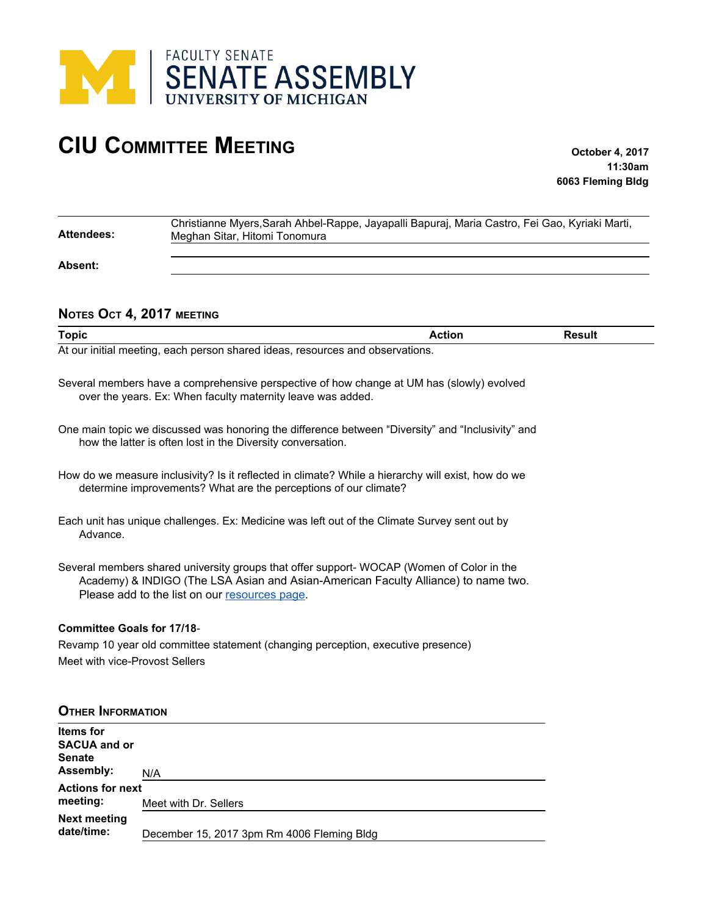

## **CIU COMMITTEE MEETING October 4, 2017**

**11:30am 6063 Fleming Bldg**

| <b>Attendees:</b>                 | Christianne Myers, Sarah Ahbel-Rappe, Jayapalli Bapuraj, Maria Castro, Fei Gao, Kyriaki Marti,<br>Meghan Sitar, Hitomi Tonomura                                                                                                 |               |               |
|-----------------------------------|---------------------------------------------------------------------------------------------------------------------------------------------------------------------------------------------------------------------------------|---------------|---------------|
| Absent:                           |                                                                                                                                                                                                                                 |               |               |
| NOTES OCT 4, 2017 MEETING         |                                                                                                                                                                                                                                 |               |               |
| <b>Topic</b>                      |                                                                                                                                                                                                                                 | <b>Action</b> | <b>Result</b> |
|                                   | At our initial meeting, each person shared ideas, resources and observations.                                                                                                                                                   |               |               |
|                                   | Several members have a comprehensive perspective of how change at UM has (slowly) evolved<br>over the years. Ex: When faculty maternity leave was added.                                                                        |               |               |
|                                   | One main topic we discussed was honoring the difference between "Diversity" and "Inclusivity" and<br>how the latter is often lost in the Diversity conversation.                                                                |               |               |
|                                   | How do we measure inclusivity? Is it reflected in climate? While a hierarchy will exist, how do we<br>determine improvements? What are the perceptions of our climate?                                                          |               |               |
| Advance.                          | Each unit has unique challenges. Ex: Medicine was left out of the Climate Survey sent out by                                                                                                                                    |               |               |
|                                   | Several members shared university groups that offer support-WOCAP (Women of Color in the<br>Academy) & INDIGO (The LSA Asian and Asian-American Faculty Alliance) to name two.<br>Please add to the list on our resources page. |               |               |
| <b>Committee Goals for 17/18-</b> |                                                                                                                                                                                                                                 |               |               |

Revamp 10 year old committee statement (changing perception, executive presence) Meet with vice-Provost Sellers

| <b>OTHER INFORMATION</b>                                              |                                            |  |
|-----------------------------------------------------------------------|--------------------------------------------|--|
| <b>Items</b> for<br><b>SACUA and or</b><br><b>Senate</b><br>Assembly: | N/A                                        |  |
| <b>Actions for next</b>                                               |                                            |  |
| meeting:                                                              | Meet with Dr. Sellers                      |  |
| <b>Next meeting</b><br>date/time:                                     | December 15, 2017 3pm Rm 4006 Fleming Bldg |  |
|                                                                       |                                            |  |